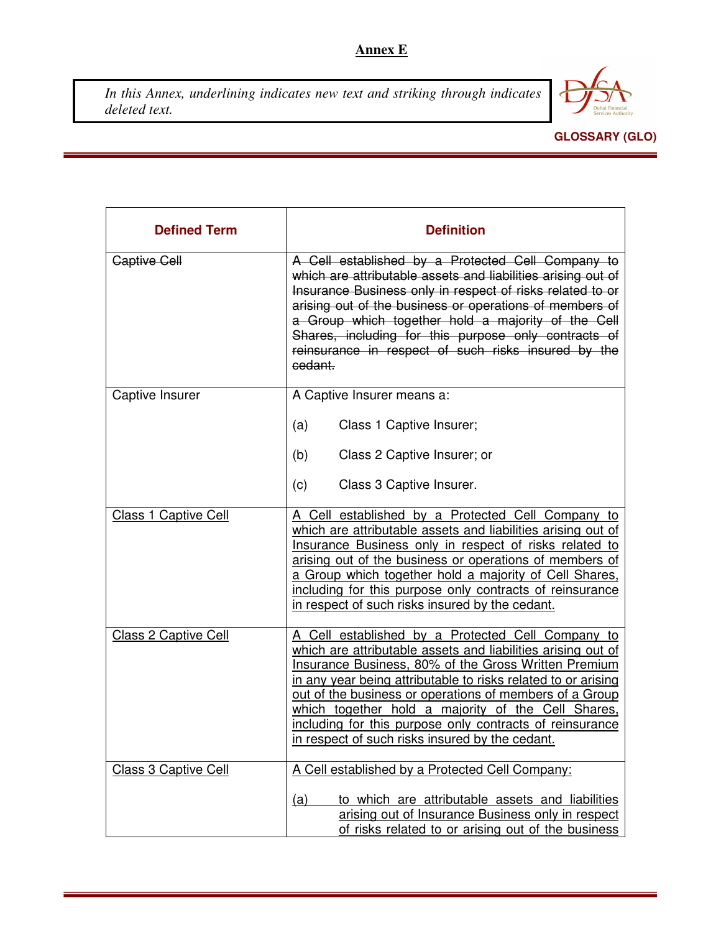## **Annex E**

*In this Annex, underlining indicates new text and striking through indicates deleted text.*



## **GLOSSARY (GLO)**

| <b>Defined Term</b>         | <b>Definition</b>                                                                                                                                                                                                                                                                                                                                                                                                                                                                               |
|-----------------------------|-------------------------------------------------------------------------------------------------------------------------------------------------------------------------------------------------------------------------------------------------------------------------------------------------------------------------------------------------------------------------------------------------------------------------------------------------------------------------------------------------|
| <b>Captive Cell</b>         | A Cell established by a Protected Cell Company to<br>which are attributable assets and liabilities arising out of<br>Insurance Business only in respect of risks related to or<br>arising out of the business or operations of members of<br>a Group which together hold a majority of the Cell<br>Shares, including for this purpose only contracts of<br>reinsurance in respect of such risks insured by the<br>cedant.                                                                       |
| Captive Insurer             | A Captive Insurer means a:                                                                                                                                                                                                                                                                                                                                                                                                                                                                      |
|                             | (a)<br>Class 1 Captive Insurer;                                                                                                                                                                                                                                                                                                                                                                                                                                                                 |
|                             | (b)<br>Class 2 Captive Insurer; or                                                                                                                                                                                                                                                                                                                                                                                                                                                              |
|                             | (c)<br>Class 3 Captive Insurer.                                                                                                                                                                                                                                                                                                                                                                                                                                                                 |
| <b>Class 1 Captive Cell</b> | A Cell established by a Protected Cell Company to<br>which are attributable assets and liabilities arising out of<br>Insurance Business only in respect of risks related to<br><u>arising out of the business or operations of members of</u><br>a Group which together hold a majority of Cell Shares,<br>including for this purpose only contracts of reinsurance<br>in respect of such risks insured by the cedant.                                                                          |
| <b>Class 2 Captive Cell</b> | A Cell established by a Protected Cell Company to<br>which are attributable assets and liabilities arising out of<br><b>Insurance Business, 80% of the Gross Written Premium</b><br><u>in any year being attributable to risks related to or arising</u><br><u>out of the business or operations of members of a Group</u><br>which together hold a majority of the Cell Shares,<br>including for this purpose only contracts of reinsurance<br>in respect of such risks insured by the cedant. |
| Class 3 Captive Cell        | A Cell established by a Protected Cell Company:<br>to which are attributable assets and liabilities<br>(a)<br>arising out of Insurance Business only in respect<br>of risks related to or arising out of the business                                                                                                                                                                                                                                                                           |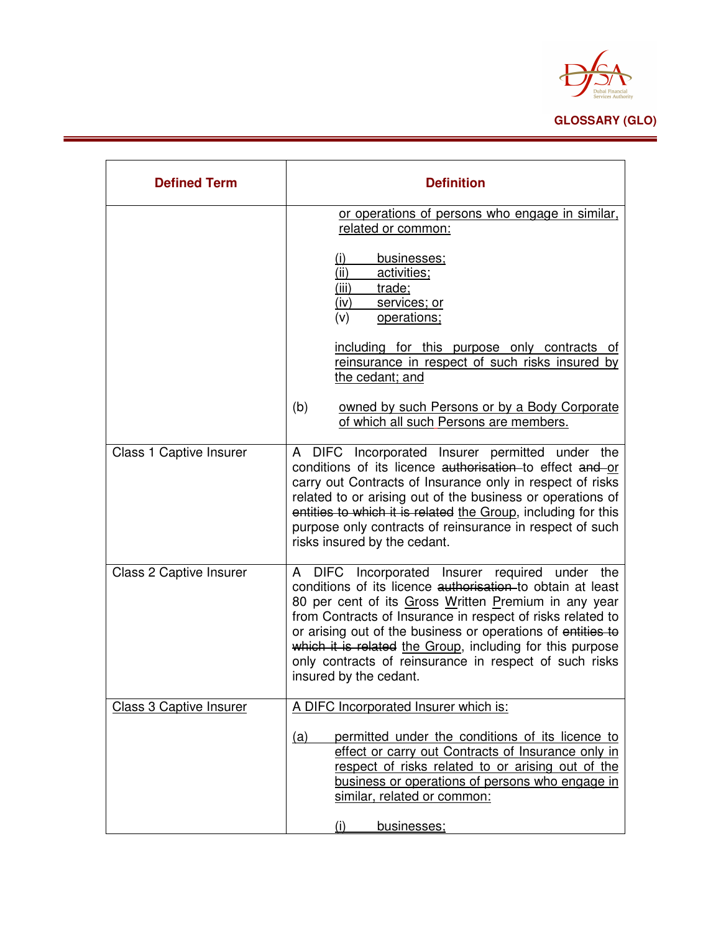

| <b>Defined Term</b>            | <b>Definition</b>                                                                                                                                                                                                                                                                                                                                                                                                                                  |
|--------------------------------|----------------------------------------------------------------------------------------------------------------------------------------------------------------------------------------------------------------------------------------------------------------------------------------------------------------------------------------------------------------------------------------------------------------------------------------------------|
|                                | or operations of persons who engage in similar,<br>related or common:                                                                                                                                                                                                                                                                                                                                                                              |
|                                | <u>(i)</u><br>businesses;<br>(ii)<br>activities;<br>(iii)<br>trade;<br>services; or<br>(iv)<br>(v)<br>operations;                                                                                                                                                                                                                                                                                                                                  |
|                                | including for this purpose only contracts of<br>reinsurance in respect of such risks insured by<br>the cedant; and                                                                                                                                                                                                                                                                                                                                 |
|                                | (b)<br>owned by such Persons or by a Body Corporate<br>of which all such Persons are members.                                                                                                                                                                                                                                                                                                                                                      |
| <b>Class 1 Captive Insurer</b> | A DIFC Incorporated Insurer permitted under the<br>conditions of its licence authorisation to effect and or<br>carry out Contracts of Insurance only in respect of risks<br>related to or arising out of the business or operations of<br>entities to which it is related the Group, including for this<br>purpose only contracts of reinsurance in respect of such<br>risks insured by the cedant.                                                |
| Class 2 Captive Insurer        | A DIFC Incorporated Insurer required under the<br>conditions of its licence authorisation to obtain at least<br>80 per cent of its Gross Written Premium in any year<br>from Contracts of Insurance in respect of risks related to<br>or arising out of the business or operations of entities to<br>which it is related the Group, including for this purpose<br>only contracts of reinsurance in respect of such risks<br>insured by the cedant. |
| <b>Class 3 Captive Insurer</b> | A DIFC Incorporated Insurer which is:                                                                                                                                                                                                                                                                                                                                                                                                              |
|                                | permitted under the conditions of its licence to<br><u>(a)</u><br>effect or carry out Contracts of Insurance only in<br>respect of risks related to or arising out of the<br>business or operations of persons who engage in<br>similar, related or common:<br>(i)<br>businesses;                                                                                                                                                                  |